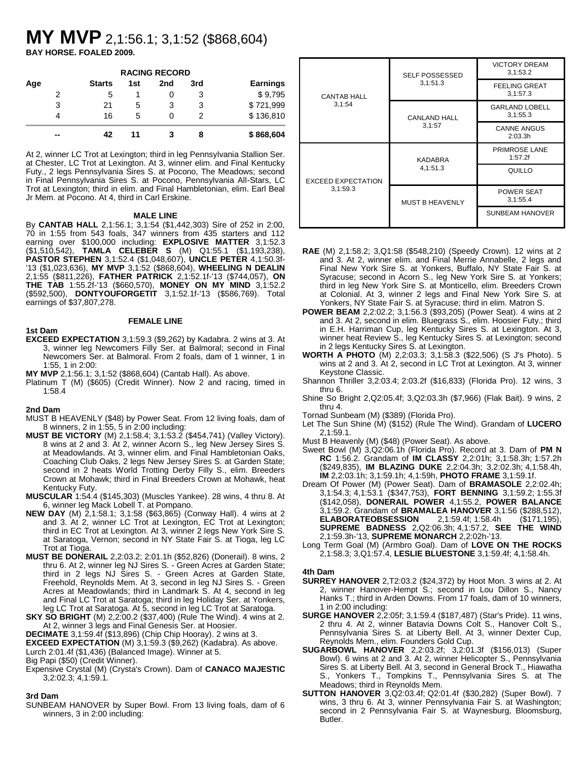# **MY MVP** 2,1:56.1; 3,1:52 (\$868,604)

**BAY HORSE. FOALED 2009.**

| <b>RACING RECORD</b> |               |     |     |     |                 |  |
|----------------------|---------------|-----|-----|-----|-----------------|--|
| Age                  | <b>Starts</b> | 1st | 2nd | 3rd | <b>Earnings</b> |  |
| 2                    | 5             |     |     | 3   | \$9,795         |  |
| 3                    | 21            | 5   | 3   | 3   | \$721,999       |  |
|                      | 16            | 5   |     | 2   | \$136,810       |  |
| --                   | 42            |     |     | 8   | \$868,604       |  |

At 2, winner LC Trot at Lexington; third in leg Pennsylvania Stallion Ser. at Chester, LC Trot at Lexington. At 3, winner elim. and Final Kentucky Futy., 2 legs Pennsylvania Sires S. at Pocono, The Meadows; second in Final Pennsylvania Sires S. at Pocono, Pennsylvania All-Stars, LC Trot at Lexington; third in elim. and Final Hambletonian, elim. Earl Beal Jr Mem. at Pocono. At 4, third in Carl Erskine.

#### **MALE LINE**

By **CANTAB HALL** 2,1:56.1; 3,1:54 (\$1,442,303) Sire of 252 in 2:00, 70 in 1:55 from 543 foals, 347 winners from 435 starters and 112 earning over \$100,000 including: **EXPLOSIVE MATTER** 3,1:52.3 (\$1,510,542), **TAMLA CELEBER S** (M) Q1:55.1 (\$1,193,238), **PASTOR STEPHEN** 3,1:52.4 (\$1,048,607), **UNCLE PETER** 4,1:50.3f- '13 (\$1,023,636), **MY MVP** 3,1:52 (\$868,604), **WHEELING N DEALIN** 2,1:55 (\$811,226), **FATHER PATRICK** 2,1:52.1f-'13 (\$744,057), **ON THE TAB** 1:55.2f-'13 (\$660,570), **MONEY ON MY MIND** 3,1:52.2 (\$592,500), **DONTYOUFORGETIT** 3,1:52.1f-'13 (\$586,769). Total earnings of \$37,807,278.

#### **FEMALE LINE**

#### **1st Dam EXCEED EXPECTATION** 3,1:59.3 (\$9,262) by Kadabra. 2 wins at 3. At 3, winner leg Newcomers Filly Ser. at Balmoral; second in Final Newcomers Ser. at Balmoral. From 2 foals, dam of 1 winner, 1 in 1:55, 1 in 2:00:

- **MY MVP** 2,1:56.1; 3,1:52 (\$868,604) (Cantab Hall). As above.
- Platinum T (M) (\$605) (Credit Winner). Now 2 and racing, timed in 1:58.4

# **2nd Dam**

- MUST B HEAVENLY (\$48) by Power Seat. From 12 living foals, dam of 8 winners, 2 in 1:55, 5 in 2:00 including:
- **MUST BE VICTORY** (M) 2,1:58.4; 3,1:53.2 (\$454,741) (Valley Victory). 8 wins at 2 and 3. At 2, winner Acorn S., leg New Jersey Sires S. at Meadowlands. At 3, winner elim. and Final Hambletonian Oaks, Coaching Club Oaks, 2 legs New Jersey Sires S. at Garden State; second in 2 heats World Trotting Derby Filly S., elim. Breeders Crown at Mohawk; third in Final Breeders Crown at Mohawk, heat Kentucky Futy.
- **MUSCULAR** 1:54.4 (\$145,303) (Muscles Yankee). 28 wins, 4 thru 8. At 6, winner leg Mack Lobell T. at Pompano.
- **NEW DAY** (M) 2,1:58.1; 3,1:58 (\$63,865) (Conway Hall). 4 wins at 2 and 3. At 2, winner LC Trot at Lexington, EC Trot at Lexington; third in EC Trot at Lexington. At 3, winner 2 legs New York Sire S. at Saratoga, Vernon; second in NY State Fair S. at Tioga, leg LC Trot at Tioga.
- **MUST BE DONERAIL** 2,2:03.2; 2:01.1h (\$52,826) (Donerail). 8 wins, 2 thru 6. At 2, winner leg NJ Sires S. - Green Acres at Garden State; third in 2 legs NJ Sires S. - Green Acres at Garden State, Freehold, Reynolds Mem. At 3, second in leg NJ Sires S. - Green Acres at Meadowlands; third in Landmark S. At 4, second in leg and Final LC Trot at Saratoga; third in leg Holiday Ser. at Yonkers, leg LC Trot at Saratoga. At 5, second in leg LC Trot at Saratoga.

**SKY SO BRIGHT** (M) 2,2:00.2 (\$37,400) (Rule The Wind). 4 wins at 2. At 2, winner 3 legs and Final Genesis Ser. at Hoosier.

**DECIMATE** 3,1:59.4f (\$13,896) (Chip Chip Hooray). 2 wins at 3.

**EXCEED EXPECTATION** (M) 3,1:59.3 (\$9,262) (Kadabra). As above. Lurch 2:01.4f (\$1,436) (Balanced Image). Winner at 5.

Big Papi (\$50) (Credit Winner).

Expensive Crystal (M) (Crysta's Crown). Dam of **CANACO MAJESTIC** 3,2:02.3; 4,1:59.1.

# **3rd Dam**

SUNBEAM HANOVER by Super Bowl. From 13 living foals, dam of 6 winners, 3 in 2:00 including:

|                           | <b>SELF POSSESSED</b> | <b>VICTORY DREAM</b><br>3,1:53.2  |
|---------------------------|-----------------------|-----------------------------------|
| <b>CANTAB HALL</b>        | 3,1:51.3              | <b>FEELING GREAT</b><br>3,1:57.3  |
| 3,1:54                    | <b>CANLAND HALL</b>   | <b>GARLAND LOBELL</b><br>3,1:55.3 |
|                           | 3,1:57                | <b>CANNE ANGUS</b><br>2:03.3h     |
|                           | KADABRA               | <b>PRIMROSE LANE</b><br>1:57.2f   |
| <b>EXCEED EXPECTATION</b> | 4,1:51.3              | QUILLO                            |
| 3,1:59.3                  | MUST B HEAVENLY       | <b>POWER SEAT</b><br>3,1:55.4     |
|                           |                       | <b>SUNBEAM HANOVER</b>            |

- **RAE** (M) 2,1:58.2; 3,Q1:58 (\$548,210) (Speedy Crown). 12 wins at 2 and 3. At 2, winner elim. and Final Merrie Annabelle, 2 legs and Final New York Sire S. at Yonkers, Buffalo, NY State Fair S. at Syracuse; second in Acorn S., leg New York Sire S. at Yonkers; third in leg New York Sire S. at Monticello, elim. Breeders Crown at Colonial. At 3, winner 2 legs and Final New York Sire S. at Yonkers, NY State Fair S. at Syracuse; third in elim. Matron S.
- **POWER BEAM** 2,2:02.2; 3,1:56.3 (\$93,205) (Power Seat). 4 wins at 2 and 3. At 2, second in elim. Bluegrass S., elim. Hoosier Futy.; third in E.H. Harriman Cup, leg Kentucky Sires S. at Lexington. At 3, winner heat Review S., leg Kentucky Sires S. at Lexington; second in 2 legs Kentucky Sires S. at Lexington.
- **WORTH A PHOTO** (M) 2,2:03.3; 3,1:58.3 (\$22,506) (S J's Photo). 5 wins at 2 and 3. At 2, second in LC Trot at Lexington. At 3, winner Keystone Classic.
- Shannon Thriller 3,2:03.4; 2:03.2f (\$16,833) (Florida Pro). 12 wins, 3 thru 6.
- Shine So Bright 2,Q2:05.4f; 3,Q2:03.3h (\$7,966) (Flak Bait). 9 wins, 2 thru 4.
- Tornad Sunbeam (M) (\$389) (Florida Pro).
- Let The Sun Shine (M) (\$152) (Rule The Wind). Grandam of **LUCERO** 2,1:59.1.
- Must B Heavenly (M) (\$48) (Power Seat). As above.
- Sweet Bowl (M) 3,Q2:06.1h (Florida Pro). Record at 3. Dam of **PM N RC** 1:56.2. Grandam of **IM CLASSY** 2,2:01h; 3,1:58.3h; 1:57.2h (\$249,835), **IM BLAZING DUKE** 2,2:04.3h; 3,2:02.3h; 4,1:58.4h, **IM** 2,2:03.1h; 3,1:59.1h; 4,1:59h, **PHOTO FRAME** 3,1:59.1f.
- Dream Of Power (M) (Power Seat). Dam of **BRAMASOLE** 2,2:02.4h; 3,1:54.3; 4,1:53.1 (\$347,753), **FORT BENNING** 3,1:59.2; 1:55.3f (\$142,058), **DONERAIL POWER** 4,1:55.2, **POWER BALANCE** 3,1:59.2. Grandam of **BRAMALEA HANOVER** 3,1:56 (\$288,512), **ELABORATEOBSESSION SUPREME BADNESS** 2,Q2:06.3h; 4,1:57.2, **SEE THE WIND** 2,1:59.3h-'13, **SUPREME MONARCH** 2,2:02h-'13.
- Long Term Goal (M) (Armbro Goal). Dam of **LOVE ON THE ROCKS** 2,1:58.3; 3,Q1:57.4, **LESLIE BLUESTONE** 3,1:59.4f; 4,1:58.4h.

# **4th Dam**

- **SURREY HANOVER** 2,T2:03.2 (\$24,372) by Hoot Mon. 3 wins at 2. At 2, winner Hanover-Hempt S.; second in Lou Dillon S., Nancy Hanks T.; third in Arden Downs. From 17 foals, dam of 10 winners, 1 in 2:00 including:
- **SURGE HANOVER** 2,2:05f; 3,1:59.4 (\$187,487) (Star's Pride). 11 wins, 2 thru 4. At 2, winner Batavia Downs Colt S., Hanover Colt S., Pennsylvania Sires S. at Liberty Bell. At 3, winner Dexter Cup, Reynolds Mem., elim. Founders Gold Cup.
- **SUGARBOWL HANOVER** 2,2:03.2f; 3,2:01.3f (\$156,013) (Super Bowl). 6 wins at 2 and 3. At 2, winner Helicopter S., Pennsylvania Sires S. at Liberty Bell. At 3, second in General Brock T., Hiawatha S., Yonkers T., Tompkins T., Pennsylvania Sires S. at The Meadows; third in Reynolds Mem.
- **SUTTON HANOVER** 3,Q2:03.4f; Q2:01.4f (\$30,282) (Super Bowl). 7 wins, 3 thru 6. At 3, winner Pennsylvania Fair S. at Washington; second in 2 Pennsylvania Fair S. at Waynesburg, Bloomsburg, Butler.